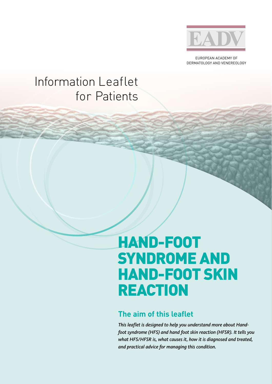

EUROPEAN ACADEMY OF DERMATOLOGY AND VENEREOLOGY

## Information Leaflet for Patients

# HAND-FOOT SYNDROME AND HAND-FOOT SKIN REACTION

### **The aim of this leaflet**

*This leaflet is designed to help you understand more about Handfoot syndrome (HFS) and hand foot skin reaction (HFSR). It tells you what HFS/HFSR is, what causes it, how it is diagnosed and treated, and practical advice for managing this condition.*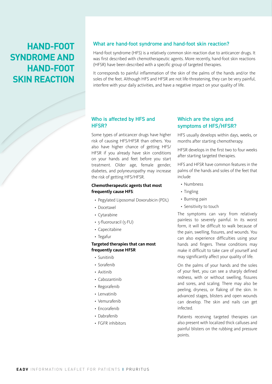### **HAND-FOOT SYNDROME AND HAND-FOOT SKIN REACTION**

#### What are hand-foot syndrome and hand-foot skin reaction?

Hand-foot syndrome (HFS) is a relatively common skin reaction due to anticancer drugs. It was first described with chemotherapeutic agents. More recently, hand-foot skin reactions (HFSR) have been described with a specific group of targeted therapies.

It corresponds to painful inflammation of the skin of the palms of the hands and/or the soles of the feet. Although HFS and HFSR are not life-threatening, they can be very painful, interfere with your daily activities, and have a negative impact on your quality of life.

#### Who is affected by HFS and HFSR?

Some types of anticancer drugs have higher risk of causing HFS/HFSR than others. You also have higher chance of getting HFS/ HFSR if you already have skin conditions on your hands and feet before you start treatment. Older age, female gender, diabetes, and polyneuropathy may increase the risk of getting HFS/HFSR.

#### **Chemotherapeutic agents that most frequently cause HFS**:

- Pegylated Liposomal Doxorubicin (PDL)
- Docetaxel
- Cytarabine
- 5-fluorouracil (5-FU)
- Capecitabine
- Tegafur

#### **Targeted therapies that can most frequently cause HFSR**

- Sunitinib
- Sorafenib
- Axitinib
- Cabozantinib
- Regorafenib
- Lenvatinib
- Vemurafenib
- Encorafenib
- Dabrafenib
- FGFR inhibitors

#### Which are the signs and symptoms of HFS/HFSR?

HFS usually develops within days, weeks, or months after starting chemotherapy.

HFSR develops in the first two to four weeks after starting targeted therapies.

HFS and HFSR have common features in the palms of the hands and soles of the feet that include

- Numbness
- Tingling
- Burning pain
- Sensitivity to touch

The symptoms can vary from relatively painless to severely painful. In its worst form, it will be difficult to walk because of the pain, swelling, fissures, and wounds. You can also experience difficulties using your hands and fingers. These conditions may make it difficult to take care of yourself and may significantly affect your quality of life.

On the palms of your hands and the soles of your feet, you can see a sharply defined redness, with or without swelling, fissures and sores, and scaling. There may also be peeling, dryness, or flaking of the skin. In advanced stages, blisters and open wounds can develop. The skin and nails can get infected.

Patients receiving targeted therapies can also present with localized thick calluses and painful blisters on the rubbing and pressure points.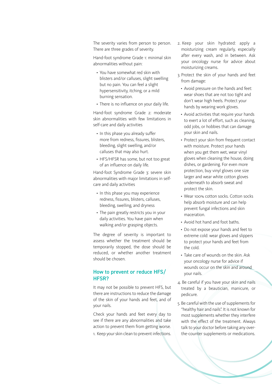The severity varies from person to person. There are three grades of severity.

Hand-foot syndrome Grade 1: minimal skin abnormalities without pain:

- You have somewhat red skin with blisters and/or calluses, slight swelling but no pain. You can feel a slight hypersensitivity, itching, or a mild burning sensation.
- There is no influence on your daily life.

Hand-foot syndrome Grade 2: moderate skin abnormalities with few limitations in self-care and daily activities

- In this phase you already suffer more from redness, fissures, blisters, bleeding, slight swelling, and/or calluses that may also hurt.
- HFS/HFSR has some, but not too great of an influence on daily life.

Hand-foot Syndrome Grade 3: severe skin abnormalities with major limitations in selfcare and daily activities

- In this phase you may experience redness, fissures, blisters, calluses, bleeding, swelling, and dryness
- The pain greatly restricts you in your daily activities. You have pain when walking and/or grasping objects.

The degree of severity is important to assess whether the treatment should be temporarily stopped, the dose should be reduced, or whether another treatment should be chosen.

#### How to prevent or reduce HFS/ HFSR?

It may not be possible to prevent HFS, but there are instructions to reduce the damage of the skin of your hands and feet, and of your nails.

Check your hands and feet every day to see if there are any abnormalities and take action to prevent them from getting worse. 1. Keep your skin clean to prevent infections.

- 2. Keep your skin hydrated: apply a moisturizing cream regularly, especially after every wash, and in between. Ask your oncology nurse for advice about moisturizing creams.
- 3. Protect the skin of your hands and feet from damage:
	- Avoid pressure on the hands and feet: wear shoes that are not too tight and don't wear high heels. Protect your hands by wearing work gloves.
	- Avoid activities that require your hands to exert a lot of effort, such as cleaning, odd jobs, or hobbies that can damage your skin and nails.
	- Protect your skin from frequent contact with moisture. Protect your hands when you get them wet, wear vinyl gloves when cleaning the house, doing dishes, or gardening. For even more protection, buy vinyl gloves one size larger and wear white cotton gloves underneath to absorb sweat and protect the skin.
	- Wear 100% cotton socks. Cotton socks help absorb moisture and can help prevent fungal infections and skin maceration.
	- Avoid hot hand and foot baths.
	- Do not expose your hands and feet to extreme cold: wear gloves and slippers to protect your hands and feet from the cold.
	- Take care of wounds on the skin. Ask your oncology nurse for advice if wounds occur on the skin and around your nails.
- 4. Be careful if you have your skin and nails treated by a beautician, manicure, or pedicure.
- 5. Be careful with the use of supplements for "healthy hair and nails". It is not known for most supplements whether they interfere with the effect of the treatment. Always talk to your doctor before taking any overthe-counter supplements or medications.